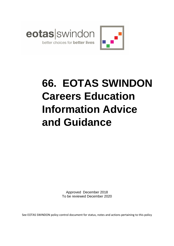

# **66. EOTAS SWINDON Careers Education Information Advice and Guidance**

Approved December 2018 To be reviewed December 2020

See EOTAS SWINDON policy control document for status, notes and actions pertaining to this policy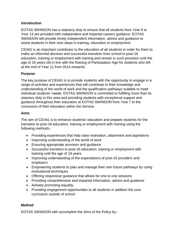#### **Introduction**

EOTAS SWINDON has a statutory duty to ensure that all students from Year 8 to Year 13 are provided with independent and impartial careers guidance. EOTAS SWINDON will provide timely independent information, advice and guidance to assist students in their next steps in training, education or employment.

CEIAG is an important contributor to the education of all students in order for them to make an informed decision and successful transition from school to post-16 education, training or employment with training and remain in such provision until the age of 18 years old in line with the Raising of Participation Age for students who left at the end of Year 11 from 2014 onwards.

## **Purpose**

The key purpose of CEIAG is to provide students with the opportunity to engage in a range of activities and experiences that will contribute to their knowledge and understanding of the world of work and the qualification pathways suitable to meet individual students' needs. EOTAS SWINDON is committed to fulfilling more than its statutory duty in this area and providing students with exceptional support and guidance throughout their education at EOTAS SWINDON from Year 7 to the conclusion of their education within the Service.

#### **Aims**

The aim of CEIAG is to enhance students' education and prepare students for the transition to post-16 education, training or employment with training using the following methods:-

- Providing experiences that help raise motivation, attainment and aspirations
- Improving understanding of the world of work
- Ensuring appropriate provision and guidance
- Successful transition to post-16 education, training or employment with training until the age of 18 years
- Improving understanding of the expectations of post-16 providers and employers
- Empowering students to plan and manage their own future pathways by using motivational techniques
- Offering responsive guidance that allows for one to one sessions
- Providing comprehensive and impartial information, advice and guidance
- Actively promoting equality.
- Providing engagement opportunities to all students in addition the core curriculum outside of school

## **Method**

EOTAS SWINDON with accomplish the Aims of the Policy by:-